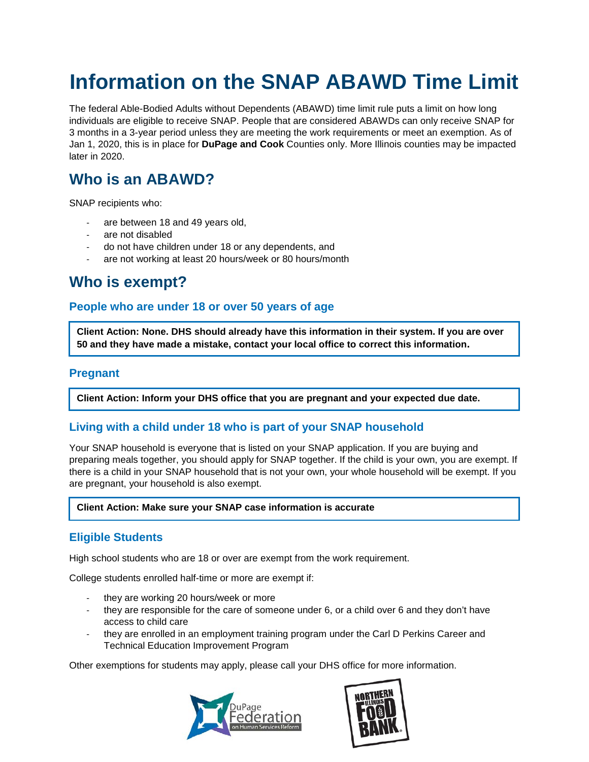# **Information on the SNAP ABAWD Time Limit**

The federal Able-Bodied Adults without Dependents (ABAWD) time limit rule puts a limit on how long individuals are eligible to receive SNAP. People that are considered ABAWDs can only receive SNAP for 3 months in a 3-year period unless they are meeting the work requirements or meet an exemption. As of Jan 1, 2020, this is in place for **DuPage and Cook** Counties only. More Illinois counties may be impacted later in 2020.

## **Who is an ABAWD?**

SNAP recipients who:

- are between 18 and 49 years old,
- are not disabled
- do not have children under 18 or any dependents, and
- are not working at least 20 hours/week or 80 hours/month

### **Who is exempt?**

### **People who are under 18 or over 50 years of age**

**Client Action: None. DHS should already have this information in their system. If you are over 50 and they have made a mistake, contact your local office to correct this information.**

### **Pregnant**

**Client Action: Inform your DHS office that you are pregnant and your expected due date.**

### **Living with a child under 18 who is part of your SNAP household**

Your SNAP household is everyone that is listed on your SNAP application. If you are buying and preparing meals together, you should apply for SNAP together. If the child is your own, you are exempt. If there is a child in your SNAP household that is not your own, your whole household will be exempt. If you are pregnant, your household is also exempt.

#### **Client Action: Make sure your SNAP case information is accurate**

### **Eligible Students**

High school students who are 18 or over are exempt from the work requirement.

College students enrolled half-time or more are exempt if:

- they are working 20 hours/week or more
- they are responsible for the care of someone under 6, or a child over 6 and they don't have access to child care
- they are enrolled in an employment training program under the Carl D Perkins Career and Technical Education Improvement Program

Other exemptions for students may apply, please call your DHS office for more information.



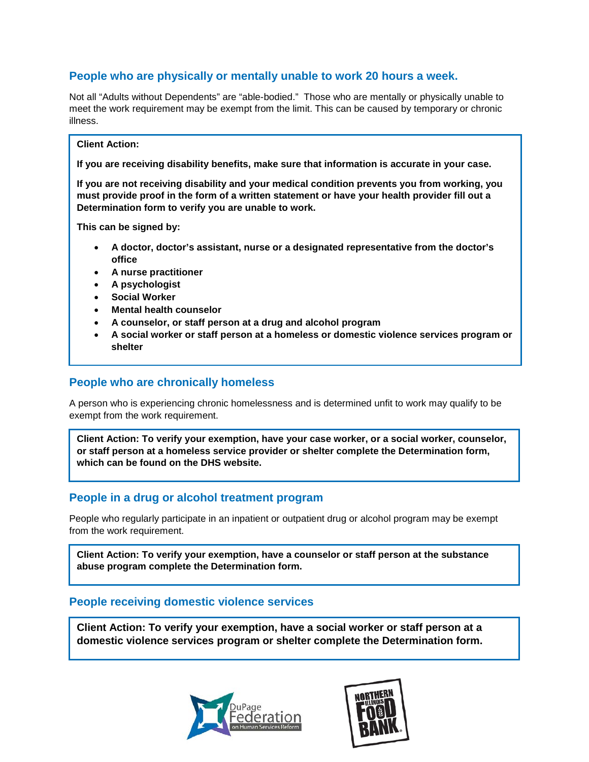### **People who are physically or mentally unable to work 20 hours a week.**

Not all "Adults without Dependents" are "able-bodied." Those who are mentally or physically unable to meet the work requirement may be exempt from the limit. This can be caused by temporary or chronic illness.

#### **Client Action:**

**If you are receiving disability benefits, make sure that information is accurate in your case.** 

**If you are not receiving disability and your medical condition prevents you from working, you must provide proof in the form of a written statement or have your health provider fill out a Determination form to verify you are unable to work.**

**This can be signed by:**

- **A doctor, doctor's assistant, nurse or a designated representative from the doctor's office**
- **A nurse practitioner**
- **A psychologist**
- **Social Worker**
- **Mental health counselor**
- **A counselor, or staff person at a drug and alcohol program**
- **A social worker or staff person at a homeless or domestic violence services program or shelter**

### **People who are chronically homeless**

A person who is experiencing chronic homelessness and is determined unfit to work may qualify to be exempt from the work requirement.

**Client Action: To verify your exemption, have your case worker, or a social worker, counselor, or staff person at a homeless service provider or shelter complete the Determination form, which can be found on the DHS website.**

### **People in a drug or alcohol treatment program**

People who regularly participate in an inpatient or outpatient drug or alcohol program may be exempt from the work requirement.

**Client Action: To verify your exemption, have a counselor or staff person at the substance abuse program complete the Determination form.**

### **People receiving domestic violence services**

**Client Action: To verify your exemption, have a social worker or staff person at a domestic violence services program or shelter complete the Determination form.** 



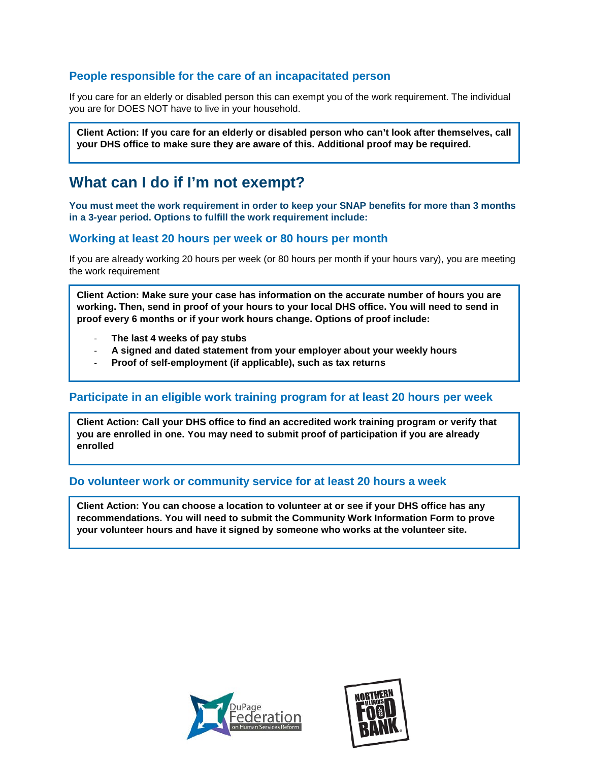### **People responsible for the care of an incapacitated person**

If you care for an elderly or disabled person this can exempt you of the work requirement. The individual you are for DOES NOT have to live in your household.

**Client Action: If you care for an elderly or disabled person who can't look after themselves, call your DHS office to make sure they are aware of this. Additional proof may be required.**

### **What can I do if I'm not exempt?**

**You must meet the work requirement in order to keep your SNAP benefits for more than 3 months in a 3-year period. Options to fulfill the work requirement include:**

### **Working at least 20 hours per week or 80 hours per month**

If you are already working 20 hours per week (or 80 hours per month if your hours vary), you are meeting the work requirement

**Client Action: Make sure your case has information on the accurate number of hours you are working. Then, send in proof of your hours to your local DHS office. You will need to send in proof every 6 months or if your work hours change. Options of proof include:**

- **The last 4 weeks of pay stubs**
- **A signed and dated statement from your employer about your weekly hours**
- **Proof of self-employment (if applicable), such as tax returns**

### **Participate in an eligible work training program for at least 20 hours per week**

**Client Action: Call your DHS office to find an accredited work training program or verify that you are enrolled in one. You may need to submit proof of participation if you are already enrolled**

#### **Do volunteer work or community service for at least 20 hours a week**

**Client Action: You can choose a location to volunteer at or see if your DHS office has any recommendations. You will need to submit the Community Work Information Form to prove your volunteer hours and have it signed by someone who works at the volunteer site.**